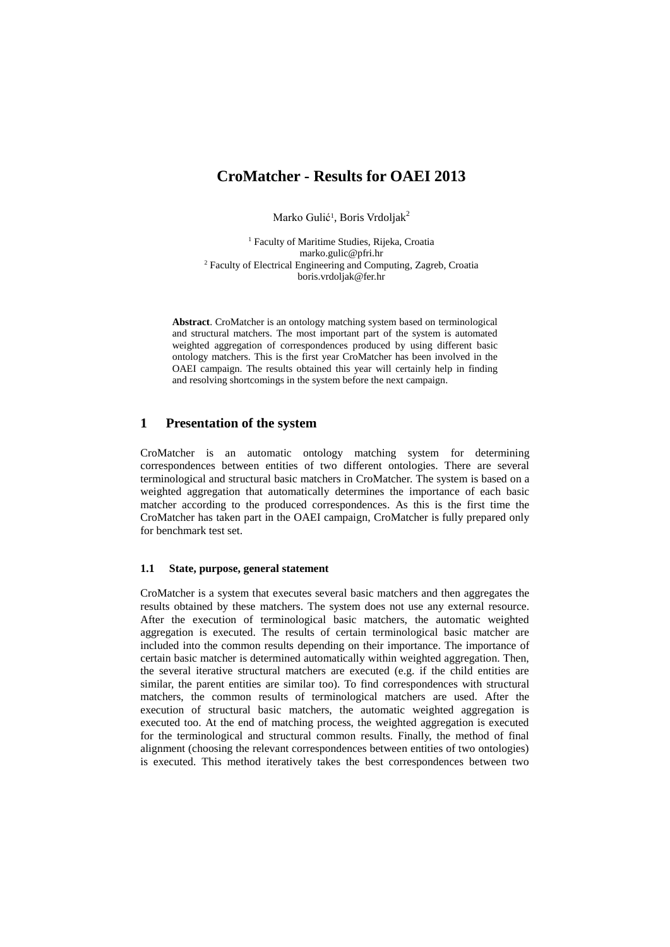# **CroMatcher - Results for OAEI 2013**

Marko Gulić<sup>1</sup>, Boris Vrdoljak<sup>2</sup>

<sup>1</sup> Faculty of Maritime Studies, Rijeka, Croatia marko.gulic@pfri.hr <sup>2</sup> Faculty of Electrical Engineering and Computing, Zagreb, Croatia boris.vrdoljak@fer.hr

**Abstract**. CroMatcher is an ontology matching system based on terminological and structural matchers. The most important part of the system is automated weighted aggregation of correspondences produced by using different basic ontology matchers. This is the first year CroMatcher has been involved in the OAEI campaign. The results obtained this year will certainly help in finding and resolving shortcomings in the system before the next campaign.

## **1 Presentation of the system**

CroMatcher is an automatic ontology matching system for determining correspondences between entities of two different ontologies. There are several terminological and structural basic matchers in CroMatcher. The system is based on a weighted aggregation that automatically determines the importance of each basic matcher according to the produced correspondences. As this is the first time the CroMatcher has taken part in the OAEI campaign, CroMatcher is fully prepared only for benchmark test set.

### **1.1 State, purpose, general statement**

CroMatcher is a system that executes several basic matchers and then aggregates the results obtained by these matchers. The system does not use any external resource. After the execution of terminological basic matchers, the automatic weighted aggregation is executed. The results of certain terminological basic matcher are included into the common results depending on their importance. The importance of certain basic matcher is determined automatically within weighted aggregation. Then, the several iterative structural matchers are executed (e.g. if the child entities are similar, the parent entities are similar too). To find correspondences with structural matchers, the common results of terminological matchers are used. After the execution of structural basic matchers, the automatic weighted aggregation is executed too. At the end of matching process, the weighted aggregation is executed for the terminological and structural common results. Finally, the method of final alignment (choosing the relevant correspondences between entities of two ontologies) is executed. This method iteratively takes the best correspondences between two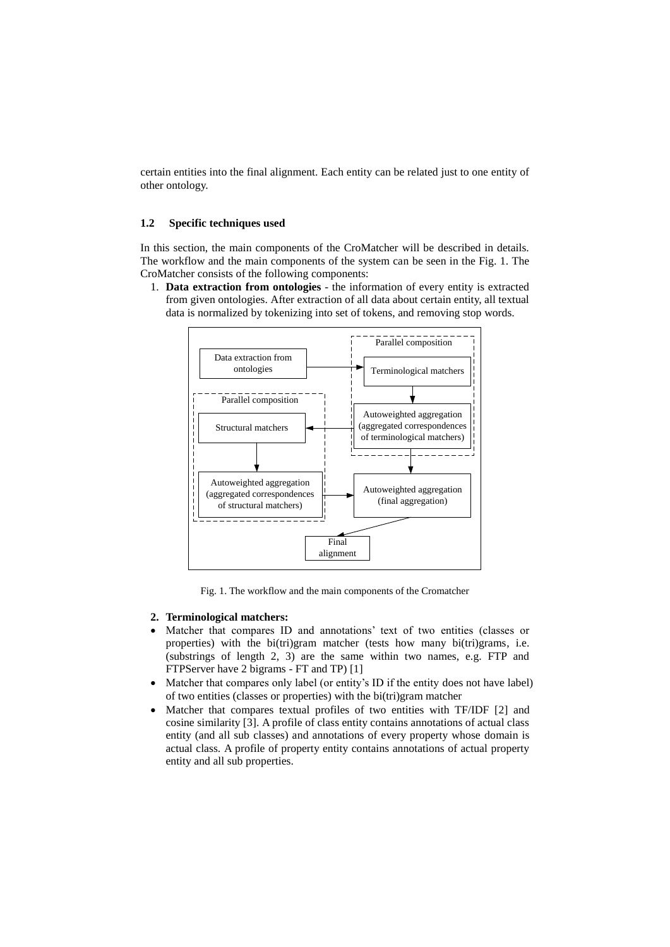certain entities into the final alignment. Each entity can be related just to one entity of other ontology.

### **1.2 Specific techniques used**

In this section, the main components of the CroMatcher will be described in details. The workflow and the main components of the system can be seen in the Fig. 1. The CroMatcher consists of the following components:

1. **Data extraction from ontologies** - the information of every entity is extracted from given ontologies. After extraction of all data about certain entity, all textual data is normalized by tokenizing into set of tokens, and removing stop words.



Fig. 1. The workflow and the main components of the Cromatcher

### **2. Terminological matchers:**

- Matcher that compares ID and annotations' text of two entities (classes or properties) with the bi(tri)gram matcher (tests how many bi(tri)grams, i.e. (substrings of length 2, 3) are the same within two names, e.g. FTP and FTPServer have 2 bigrams - FT and TP) [1]
- Matcher that compares only label (or entity's ID if the entity does not have label) of two entities (classes or properties) with the bi(tri)gram matcher
- Matcher that compares textual profiles of two entities with TF/IDF [2] and cosine similarity [3]. A profile of class entity contains annotations of actual class entity (and all sub classes) and annotations of every property whose domain is actual class. A profile of property entity contains annotations of actual property entity and all sub properties.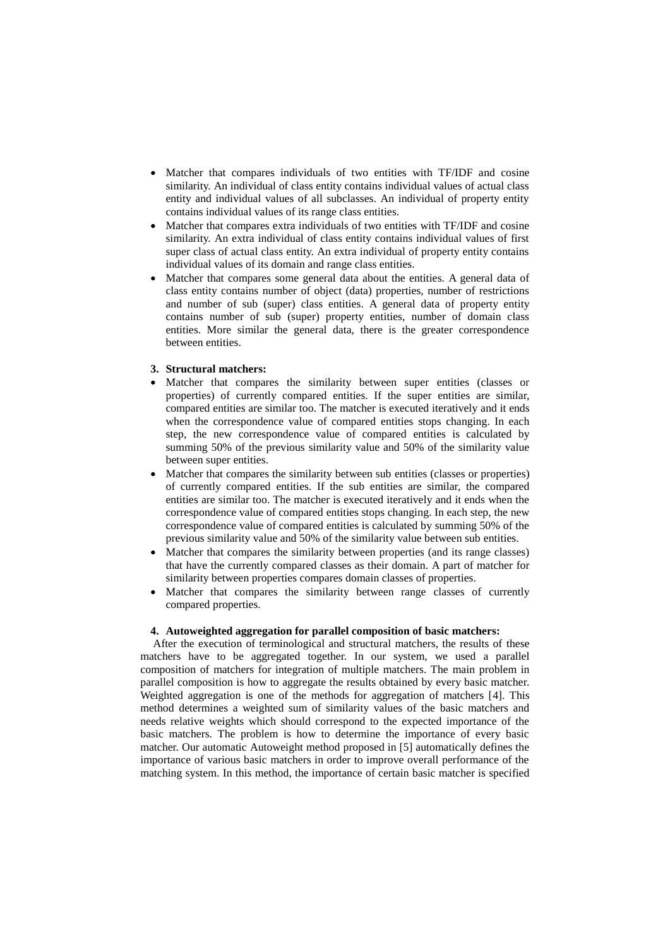- Matcher that compares individuals of two entities with TF/IDF and cosine similarity. An individual of class entity contains individual values of actual class entity and individual values of all subclasses. An individual of property entity contains individual values of its range class entities.
- Matcher that compares extra individuals of two entities with TF/IDF and cosine similarity. An extra individual of class entity contains individual values of first super class of actual class entity. An extra individual of property entity contains individual values of its domain and range class entities.
- Matcher that compares some general data about the entities. A general data of class entity contains number of object (data) properties, number of restrictions and number of sub (super) class entities. A general data of property entity contains number of sub (super) property entities, number of domain class entities. More similar the general data, there is the greater correspondence between entities.

### **3. Structural matchers:**

- Matcher that compares the similarity between super entities (classes or properties) of currently compared entities. If the super entities are similar, compared entities are similar too. The matcher is executed iteratively and it ends when the correspondence value of compared entities stops changing. In each step, the new correspondence value of compared entities is calculated by summing 50% of the previous similarity value and 50% of the similarity value between super entities.
- Matcher that compares the similarity between sub entities (classes or properties) of currently compared entities. If the sub entities are similar, the compared entities are similar too. The matcher is executed iteratively and it ends when the correspondence value of compared entities stops changing. In each step, the new correspondence value of compared entities is calculated by summing 50% of the previous similarity value and 50% of the similarity value between sub entities.
- Matcher that compares the similarity between properties (and its range classes) that have the currently compared classes as their domain. A part of matcher for similarity between properties compares domain classes of properties.
- Matcher that compares the similarity between range classes of currently compared properties.

### **4. Autoweighted aggregation for parallel composition of basic matchers:**

After the execution of terminological and structural matchers, the results of these matchers have to be aggregated together. In our system, we used a parallel composition of matchers for integration of multiple matchers. The main problem in parallel composition is how to aggregate the results obtained by every basic matcher. Weighted aggregation is one of the methods for aggregation of matchers [4]. This method determines a weighted sum of similarity values of the basic matchers and needs relative weights which should correspond to the expected importance of the basic matchers. The problem is how to determine the importance of every basic matcher. Our automatic Autoweight method proposed in [5] automatically defines the importance of various basic matchers in order to improve overall performance of the matching system. In this method, the importance of certain basic matcher is specified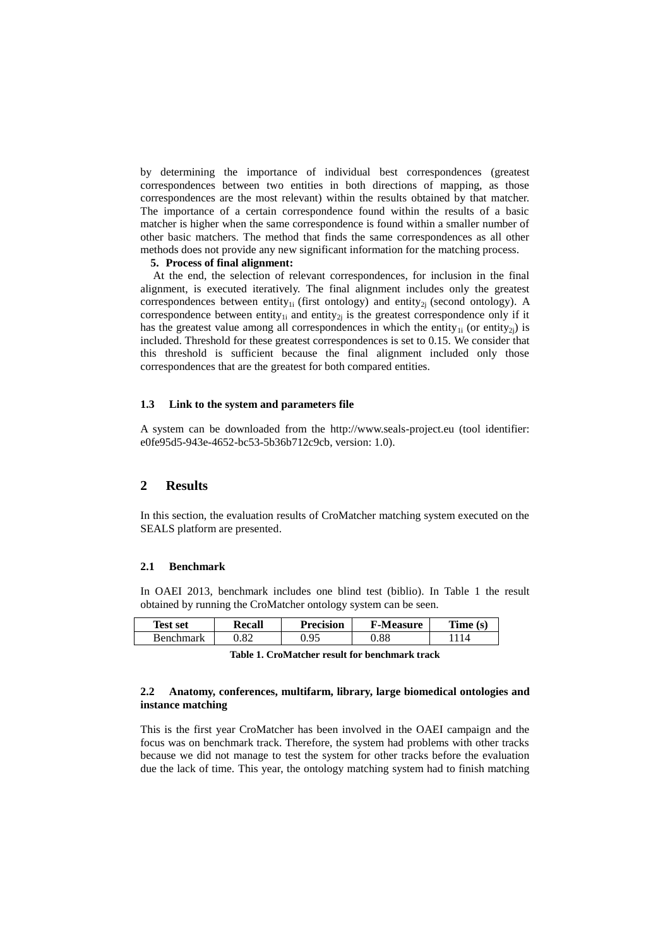by determining the importance of individual best correspondences (greatest correspondences between two entities in both directions of mapping, as those correspondences are the most relevant) within the results obtained by that matcher. The importance of a certain correspondence found within the results of a basic matcher is higher when the same correspondence is found within a smaller number of other basic matchers. The method that finds the same correspondences as all other methods does not provide any new significant information for the matching process.

#### **5. Process of final alignment:**

At the end, the selection of relevant correspondences, for inclusion in the final alignment, is executed iteratively. The final alignment includes only the greatest correspondences between entity<sub>1i</sub> (first ontology) and entity<sub>2i</sub> (second ontology). A correspondence between entity<sub>1i</sub> and entity<sub>2i</sub> is the greatest correspondence only if it has the greatest value among all correspondences in which the entity<sub>1i</sub> (or entity<sub>2i</sub>) is included. Threshold for these greatest correspondences is set to 0.15. We consider that this threshold is sufficient because the final alignment included only those correspondences that are the greatest for both compared entities.

### **1.3 Link to the system and parameters file**

A system can be downloaded from the http://www.seals-project.eu (tool identifier: e0fe95d5-943e-4652-bc53-5b36b712c9cb, version: 1.0).

### **2 Results**

In this section, the evaluation results of CroMatcher matching system executed on the SEALS platform are presented.

### **2.1 Benchmark**

In OAEI 2013, benchmark includes one blind test (biblio). In Table 1 the result obtained by running the CroMatcher ontology system can be seen.

| <b>Test set</b> | Recall | <b>Precision</b> | <b>F-Measure</b> | Time(s) |
|-----------------|--------|------------------|------------------|---------|
| Renchmark       | .82    | Ο5               | .88              |         |

**Table 1. CroMatcher result for benchmark track**

### **2.2 Anatomy, conferences, multifarm, library, large biomedical ontologies and instance matching**

This is the first year CroMatcher has been involved in the OAEI campaign and the focus was on benchmark track. Therefore, the system had problems with other tracks because we did not manage to test the system for other tracks before the evaluation due the lack of time. This year, the ontology matching system had to finish matching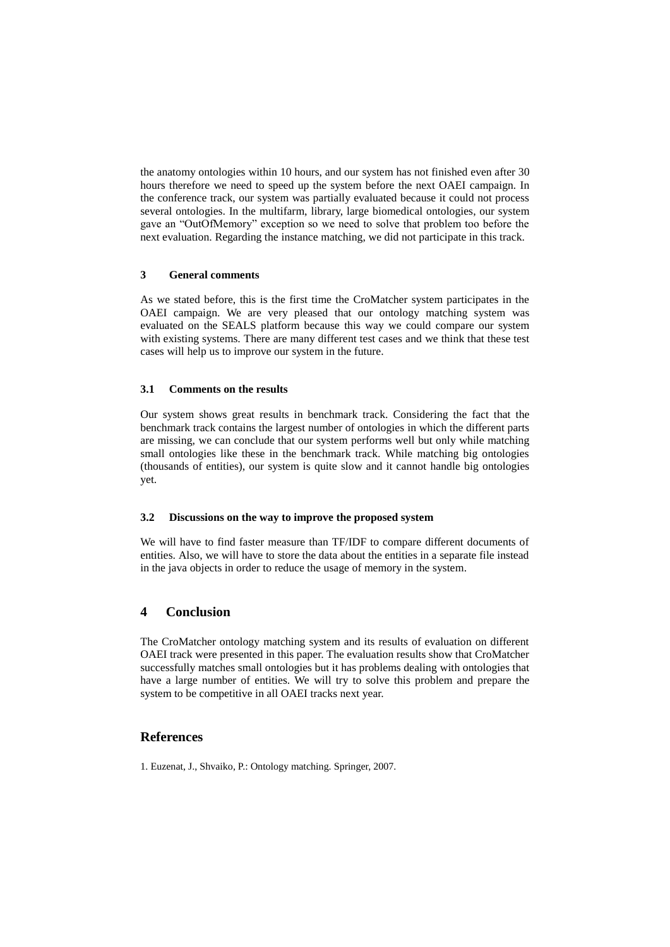the anatomy ontologies within 10 hours, and our system has not finished even after 30 hours therefore we need to speed up the system before the next OAEI campaign. In the conference track, our system was partially evaluated because it could not process several ontologies. In the multifarm, library, large biomedical ontologies, our system gave an "OutOfMemory" exception so we need to solve that problem too before the next evaluation. Regarding the instance matching, we did not participate in this track.

### **3 General comments**

As we stated before, this is the first time the CroMatcher system participates in the OAEI campaign. We are very pleased that our ontology matching system was evaluated on the SEALS platform because this way we could compare our system with existing systems. There are many different test cases and we think that these test cases will help us to improve our system in the future.

### **3.1 Comments on the results**

Our system shows great results in benchmark track. Considering the fact that the benchmark track contains the largest number of ontologies in which the different parts are missing, we can conclude that our system performs well but only while matching small ontologies like these in the benchmark track. While matching big ontologies (thousands of entities), our system is quite slow and it cannot handle big ontologies yet.

### **3.2 Discussions on the way to improve the proposed system**

We will have to find faster measure than TF/IDF to compare different documents of entities. Also, we will have to store the data about the entities in a separate file instead in the java objects in order to reduce the usage of memory in the system.

## **4 Conclusion**

The CroMatcher ontology matching system and its results of evaluation on different OAEI track were presented in this paper. The evaluation results show that CroMatcher successfully matches small ontologies but it has problems dealing with ontologies that have a large number of entities. We will try to solve this problem and prepare the system to be competitive in all OAEI tracks next year.

## **References**

1. Euzenat, J., Shvaiko, P.: Ontology matching. Springer, 2007.